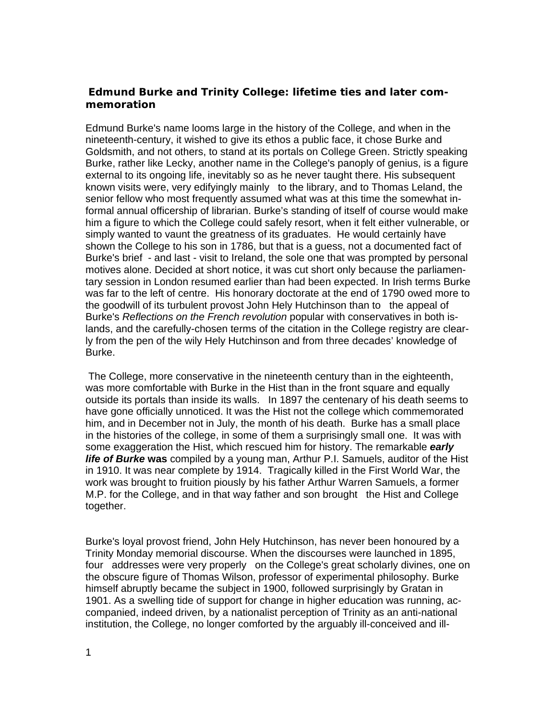## **Edmund Burke and Trinity College: lifetime ties and later commemoration**

Edmund Burke's name looms large in the history of the College, and when in the nineteenth-century, it wished to give its ethos a public face, it chose Burke and Goldsmith, and not others, to stand at its portals on College Green. Strictly speaking Burke, rather like Lecky, another name in the College's panoply of genius, is a figure external to its ongoing life, inevitably so as he never taught there. His subsequent known visits were, very edifyingly mainly to the library, and to Thomas Leland, the senior fellow who most frequently assumed what was at this time the somewhat informal annual officership of librarian. Burke's standing of itself of course would make him a figure to which the College could safely resort, when it felt either vulnerable, or simply wanted to vaunt the greatness of its graduates. He would certainly have shown the College to his son in 1786, but that is a guess, not a documented fact of Burke's brief - and last - visit to Ireland, the sole one that was prompted by personal motives alone. Decided at short notice, it was cut short only because the parliamentary session in London resumed earlier than had been expected. In Irish terms Burke was far to the left of centre. His honorary doctorate at the end of 1790 owed more to the goodwill of its turbulent provost John Hely Hutchinson than to the appeal of Burke's *Reflections on the French revolution* popular with conservatives in both islands, and the carefully-chosen terms of the citation in the College registry are clearly from the pen of the wily Hely Hutchinson and from three decades' knowledge of Burke.

 The College, more conservative in the nineteenth century than in the eighteenth, was more comfortable with Burke in the Hist than in the front square and equally outside its portals than inside its walls. In 1897 the centenary of his death seems to have gone officially unnoticed. It was the Hist not the college which commemorated him, and in December not in July, the month of his death. Burke has a small place in the histories of the college, in some of them a surprisingly small one. It was with some exaggeration the Hist, which rescued him for history. The remarkable *early life of Burke* **was** compiled by a young man, Arthur P.I. Samuels, auditor of the Hist in 1910. It was near complete by 1914. Tragically killed in the First World War, the work was brought to fruition piously by his father Arthur Warren Samuels, a former M.P. for the College, and in that way father and son brought the Hist and College together.

Burke's loyal provost friend, John Hely Hutchinson, has never been honoured by a Trinity Monday memorial discourse. When the discourses were launched in 1895, four addresses were very properly on the College's great scholarly divines, one on the obscure figure of Thomas Wilson, professor of experimental philosophy. Burke himself abruptly became the subject in 1900, followed surprisingly by Gratan in 1901. As a swelling tide of support for change in higher education was running, accompanied, indeed driven, by a nationalist perception of Trinity as an anti-national institution, the College, no longer comforted by the arguably ill-conceived and ill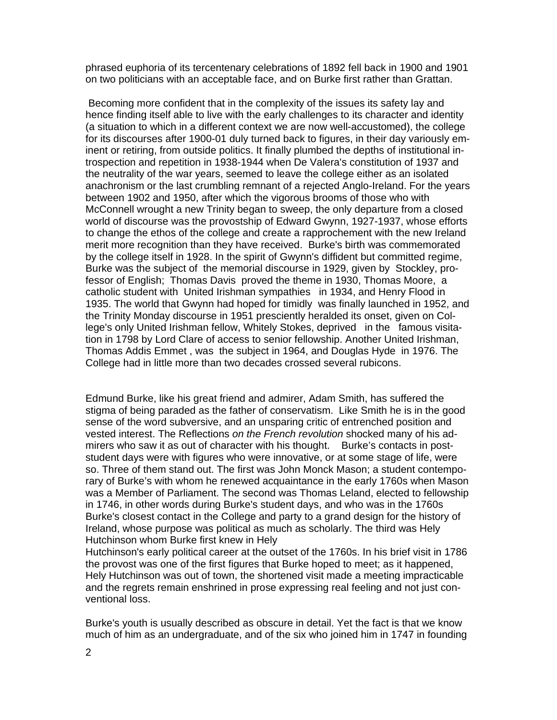phrased euphoria of its tercentenary celebrations of 1892 fell back in 1900 and 1901 on two politicians with an acceptable face, and on Burke first rather than Grattan.

 Becoming more confident that in the complexity of the issues its safety lay and hence finding itself able to live with the early challenges to its character and identity (a situation to which in a different context we are now well-accustomed), the college for its discourses after 1900-01 duly turned back to figures, in their day variously eminent or retiring, from outside politics. It finally plumbed the depths of institutional introspection and repetition in 1938-1944 when De Valera's constitution of 1937 and the neutrality of the war years, seemed to leave the college either as an isolated anachronism or the last crumbling remnant of a rejected Anglo-Ireland. For the years between 1902 and 1950, after which the vigorous brooms of those who with McConnell wrought a new Trinity began to sweep, the only departure from a closed world of discourse was the provostship of Edward Gwynn, 1927-1937, whose efforts to change the ethos of the college and create a rapprochement with the new Ireland merit more recognition than they have received. Burke's birth was commemorated by the college itself in 1928. In the spirit of Gwynn's diffident but committed regime, Burke was the subject of the memorial discourse in 1929, given by Stockley, professor of English; Thomas Davis proved the theme in 1930, Thomas Moore, a catholic student with United Irishman sympathies in 1934, and Henry Flood in 1935. The world that Gwynn had hoped for timidly was finally launched in 1952, and the Trinity Monday discourse in 1951 presciently heralded its onset, given on College's only United Irishman fellow, Whitely Stokes, deprived in the famous visitation in 1798 by Lord Clare of access to senior fellowship. Another United Irishman, Thomas Addis Emmet , was the subject in 1964, and Douglas Hyde in 1976. The College had in little more than two decades crossed several rubicons.

Edmund Burke, like his great friend and admirer, Adam Smith, has suffered the stigma of being paraded as the father of conservatism. Like Smith he is in the good sense of the word subversive, and an unsparing critic of entrenched position and vested interest. The Reflections *on the French revolution* shocked many of his admirers who saw it as out of character with his thought. Burke's contacts in poststudent days were with figures who were innovative, or at some stage of life, were so. Three of them stand out. The first was John Monck Mason; a student contemporary of Burke's with whom he renewed acquaintance in the early 1760s when Mason was a Member of Parliament. The second was Thomas Leland, elected to fellowship in 1746, in other words during Burke's student days, and who was in the 1760s Burke's closest contact in the College and party to a grand design for the history of Ireland, whose purpose was political as much as scholarly. The third was Hely Hutchinson whom Burke first knew in Hely

Hutchinson's early political career at the outset of the 1760s. In his brief visit in 1786 the provost was one of the first figures that Burke hoped to meet; as it happened, Hely Hutchinson was out of town, the shortened visit made a meeting impracticable and the regrets remain enshrined in prose expressing real feeling and not just conventional loss.

Burke's youth is usually described as obscure in detail. Yet the fact is that we know much of him as an undergraduate, and of the six who joined him in 1747 in founding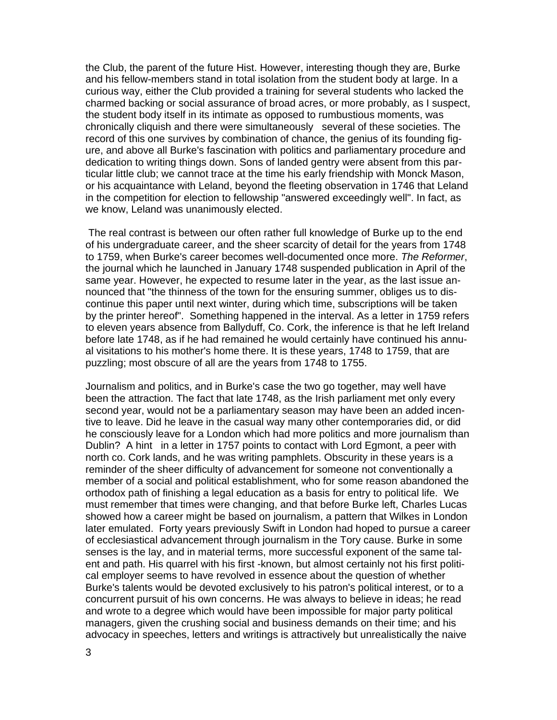the Club, the parent of the future Hist. However, interesting though they are, Burke and his fellow-members stand in total isolation from the student body at large. In a curious way, either the Club provided a training for several students who lacked the charmed backing or social assurance of broad acres, or more probably, as I suspect, the student body itself in its intimate as opposed to rumbustious moments, was chronically cliquish and there were simultaneously several of these societies. The record of this one survives by combination of chance, the genius of its founding figure, and above all Burke's fascination with politics and parliamentary procedure and dedication to writing things down. Sons of landed gentry were absent from this particular little club; we cannot trace at the time his early friendship with Monck Mason, or his acquaintance with Leland, beyond the fleeting observation in 1746 that Leland in the competition for election to fellowship "answered exceedingly well". In fact, as we know, Leland was unanimously elected.

 The real contrast is between our often rather full knowledge of Burke up to the end of his undergraduate career, and the sheer scarcity of detail for the years from 1748 to 1759, when Burke's career becomes well-documented once more. *The Reformer*, the journal which he launched in January 1748 suspended publication in April of the same year. However, he expected to resume later in the year, as the last issue announced that "the thinness of the town for the ensuring summer, obliges us to discontinue this paper until next winter, during which time, subscriptions will be taken by the printer hereof". Something happened in the interval. As a letter in 1759 refers to eleven years absence from Ballyduff, Co. Cork, the inference is that he left Ireland before late 1748, as if he had remained he would certainly have continued his annual visitations to his mother's home there. It is these years, 1748 to 1759, that are puzzling; most obscure of all are the years from 1748 to 1755.

Journalism and politics, and in Burke's case the two go together, may well have been the attraction. The fact that late 1748, as the Irish parliament met only every second year, would not be a parliamentary season may have been an added incentive to leave. Did he leave in the casual way many other contemporaries did, or did he consciously leave for a London which had more politics and more journalism than Dublin? A hint in a letter in 1757 points to contact with Lord Egmont, a peer with north co. Cork lands, and he was writing pamphlets. Obscurity in these years is a reminder of the sheer difficulty of advancement for someone not conventionally a member of a social and political establishment, who for some reason abandoned the orthodox path of finishing a legal education as a basis for entry to political life. We must remember that times were changing, and that before Burke left, Charles Lucas showed how a career might be based on journalism, a pattern that Wilkes in London later emulated. Forty years previously Swift in London had hoped to pursue a career of ecclesiastical advancement through journalism in the Tory cause. Burke in some senses is the lay, and in material terms, more successful exponent of the same talent and path. His quarrel with his first -known, but almost certainly not his first political employer seems to have revolved in essence about the question of whether Burke's talents would be devoted exclusively to his patron's political interest, or to a concurrent pursuit of his own concerns. He was always to believe in ideas; he read and wrote to a degree which would have been impossible for major party political managers, given the crushing social and business demands on their time; and his advocacy in speeches, letters and writings is attractively but unrealistically the naive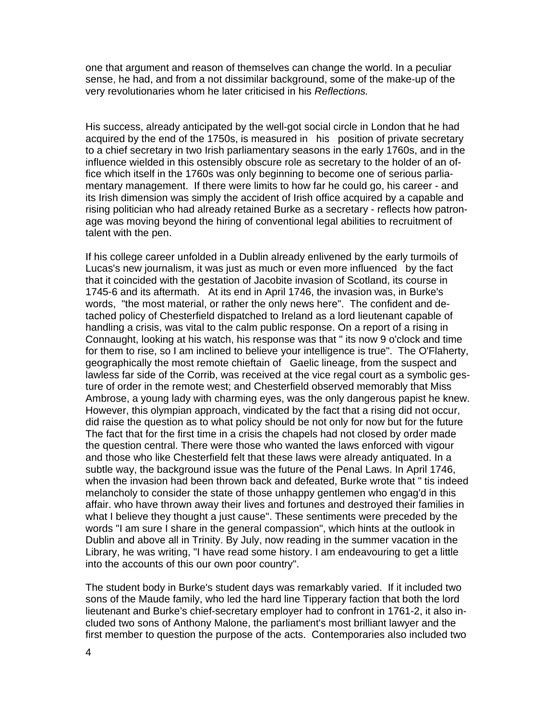one that argument and reason of themselves can change the world. In a peculiar sense, he had, and from a not dissimilar background, some of the make-up of the very revolutionaries whom he later criticised in his *Reflections.* 

His success, already anticipated by the well-got social circle in London that he had acquired by the end of the 1750s, is measured in his position of private secretary to a chief secretary in two Irish parliamentary seasons in the early 1760s, and in the influence wielded in this ostensibly obscure role as secretary to the holder of an office which itself in the 1760s was only beginning to become one of serious parliamentary management. If there were limits to how far he could go, his career - and its Irish dimension was simply the accident of Irish office acquired by a capable and rising politician who had already retained Burke as a secretary - reflects how patronage was moving beyond the hiring of conventional legal abilities to recruitment of talent with the pen.

If his college career unfolded in a Dublin already enlivened by the early turmoils of Lucas's new journalism, it was just as much or even more influenced by the fact that it coincided with the gestation of Jacobite invasion of Scotland, its course in 1745-6 and its aftermath. At its end in April 1746, the invasion was, in Burke's words, "the most material, or rather the only news here".The confident and detached policy of Chesterfield dispatched to Ireland as a lord lieutenant capable of handling a crisis, was vital to the calm public response. On a report of a rising in Connaught, looking at his watch, his response was that " its now 9 o'clock and time for them to rise, so I am inclined to believe your intelligence is true". The O'Flaherty, geographically the most remote chieftain of Gaelic lineage, from the suspect and lawless far side of the Corrib, was received at the vice regal court as a symbolic gesture of order in the remote west; and Chesterfield observed memorably that Miss Ambrose, a young lady with charming eyes, was the only dangerous papist he knew. However, this olympian approach, vindicated by the fact that a rising did not occur, did raise the question as to what policy should be not only for now but for the future The fact that for the first time in a crisis the chapels had not closed by order made the question central. There were those who wanted the laws enforced with vigour and those who like Chesterfield felt that these laws were already antiquated. In a subtle way, the background issue was the future of the Penal Laws. In April 1746, when the invasion had been thrown back and defeated, Burke wrote that " tis indeed melancholy to consider the state of those unhappy gentlemen who engag'd in this affair. who have thrown away their lives and fortunes and destroyed their families in what I believe they thought a just cause". These sentiments were preceded by the words "I am sure I share in the general compassion", which hints at the outlook in Dublin and above all in Trinity. By July, now reading in the summer vacation in the Library, he was writing, "I have read some history. I am endeavouring to get a little into the accounts of this our own poor country".

The student body in Burke's student days was remarkably varied. If it included two sons of the Maude family, who led the hard line Tipperary faction that both the lord lieutenant and Burke's chief-secretary employer had to confront in 1761-2, it also included two sons of Anthony Malone, the parliament's most brilliant lawyer and the first member to question the purpose of the acts. Contemporaries also included two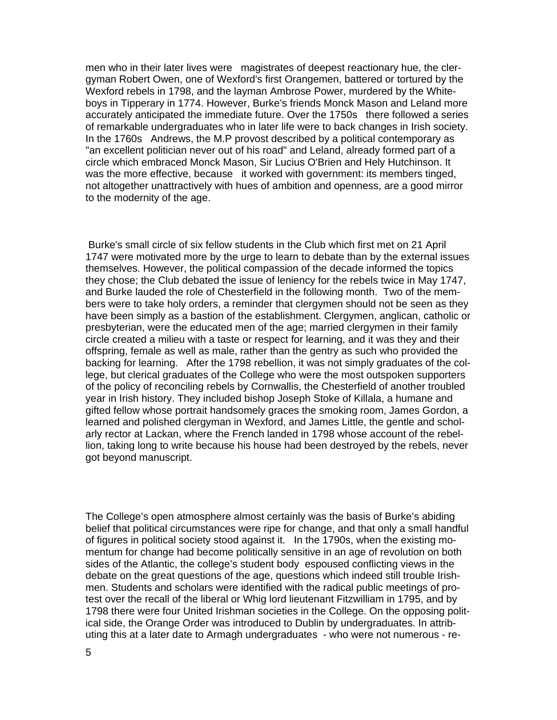men who in their later lives were magistrates of deepest reactionary hue, the clergyman Robert Owen, one of Wexford's first Orangemen, battered or tortured by the Wexford rebels in 1798, and the layman Ambrose Power, murdered by the Whiteboys in Tipperary in 1774. However, Burke's friends Monck Mason and Leland more accurately anticipated the immediate future. Over the 1750s there followed a series of remarkable undergraduates who in later life were to back changes in Irish society. In the 1760s Andrews, the M.P provost described by a political contemporary as "an excellent politician never out of his road" and Leland, already formed part of a circle which embraced Monck Mason, Sir Lucius O'Brien and Hely Hutchinson. It was the more effective, because it worked with government: its members tinged, not altogether unattractively with hues of ambition and openness, are a good mirror to the modernity of the age.

 Burke's small circle of six fellow students in the Club which first met on 21 April 1747 were motivated more by the urge to learn to debate than by the external issues themselves. However, the political compassion of the decade informed the topics they chose; the Club debated the issue of leniency for the rebels twice in May 1747, and Burke lauded the role of Chesterfield in the following month. Two of the members were to take holy orders, a reminder that clergymen should not be seen as they have been simply as a bastion of the establishment. Clergymen, anglican, catholic or presbyterian, were the educated men of the age; married clergymen in their family circle created a milieu with a taste or respect for learning, and it was they and their offspring, female as well as male, rather than the gentry as such who provided the backing for learning. After the 1798 rebellion, it was not simply graduates of the college, but clerical graduates of the College who were the most outspoken supporters of the policy of reconciling rebels by Cornwallis, the Chesterfield of another troubled year in Irish history. They included bishop Joseph Stoke of Killala, a humane and gifted fellow whose portrait handsomely graces the smoking room, James Gordon, a learned and polished clergyman in Wexford, and James Little, the gentle and scholarly rector at Lackan, where the French landed in 1798 whose account of the rebellion, taking long to write because his house had been destroyed by the rebels, never got beyond manuscript.

The College's open atmosphere almost certainly was the basis of Burke's abiding belief that political circumstances were ripe for change, and that only a small handful of figures in political society stood against it. In the 1790s, when the existing momentum for change had become politically sensitive in an age of revolution on both sides of the Atlantic, the college's student body espoused conflicting views in the debate on the great questions of the age, questions which indeed still trouble Irishmen. Students and scholars were identified with the radical public meetings of protest over the recall of the liberal or Whig lord lieutenant Fitzwilliam in 1795, and by 1798 there were four United Irishman societies in the College. On the opposing political side, the Orange Order was introduced to Dublin by undergraduates. In attributing this at a later date to Armagh undergraduates - who were not numerous - re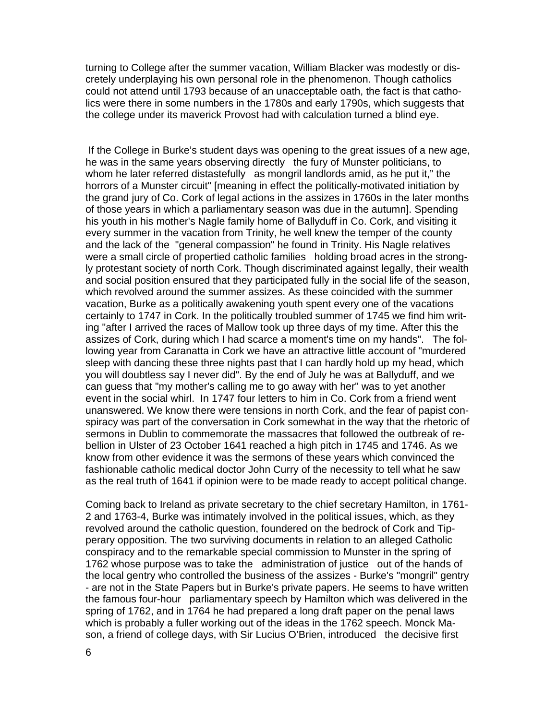turning to College after the summer vacation, William Blacker was modestly or discretely underplaying his own personal role in the phenomenon. Though catholics could not attend until 1793 because of an unacceptable oath, the fact is that catholics were there in some numbers in the 1780s and early 1790s, which suggests that the college under its maverick Provost had with calculation turned a blind eye.

 If the College in Burke's student days was opening to the great issues of a new age, he was in the same years observing directly the fury of Munster politicians, to whom he later referred distastefully as mongril landlords amid, as he put it," the horrors of a Munster circuit" [meaning in effect the politically-motivated initiation by the grand jury of Co. Cork of legal actions in the assizes in 1760s in the later months of those years in which a parliamentary season was due in the autumn]. Spending his youth in his mother's Nagle family home of Ballyduff in Co. Cork, and visiting it every summer in the vacation from Trinity, he well knew the temper of the county and the lack of the "general compassion" he found in Trinity. His Nagle relatives were a small circle of propertied catholic families holding broad acres in the strongly protestant society of north Cork. Though discriminated against legally, their wealth and social position ensured that they participated fully in the social life of the season, which revolved around the summer assizes. As these coincided with the summer vacation, Burke as a politically awakening youth spent every one of the vacations certainly to 1747 in Cork. In the politically troubled summer of 1745 we find him writing "after I arrived the races of Mallow took up three days of my time. After this the assizes of Cork, during which I had scarce a moment's time on my hands". The following year from Caranatta in Cork we have an attractive little account of "murdered sleep with dancing these three nights past that I can hardly hold up my head, which you will doubtless say I never did". By the end of July he was at Ballyduff, and we can guess that "my mother's calling me to go away with her" was to yet another event in the social whirl. In 1747 four letters to him in Co. Cork from a friend went unanswered. We know there were tensions in north Cork, and the fear of papist conspiracy was part of the conversation in Cork somewhat in the way that the rhetoric of sermons in Dublin to commemorate the massacres that followed the outbreak of rebellion in Ulster of 23 October 1641 reached a high pitch in 1745 and 1746. As we know from other evidence it was the sermons of these years which convinced the fashionable catholic medical doctor John Curry of the necessity to tell what he saw as the real truth of 1641 if opinion were to be made ready to accept political change.

Coming back to Ireland as private secretary to the chief secretary Hamilton, in 1761- 2 and 1763-4, Burke was intimately involved in the political issues, which, as they revolved around the catholic question, foundered on the bedrock of Cork and Tipperary opposition. The two surviving documents in relation to an alleged Catholic conspiracy and to the remarkable special commission to Munster in the spring of 1762 whose purpose was to take the administration of justice out of the hands of the local gentry who controlled the business of the assizes - Burke's "mongril" gentry - are not in the State Papers but in Burke's private papers. He seems to have written the famous four-hour parliamentary speech by Hamilton which was delivered in the spring of 1762, and in 1764 he had prepared a long draft paper on the penal laws which is probably a fuller working out of the ideas in the 1762 speech. Monck Mason, a friend of college days, with Sir Lucius O'Brien, introduced the decisive first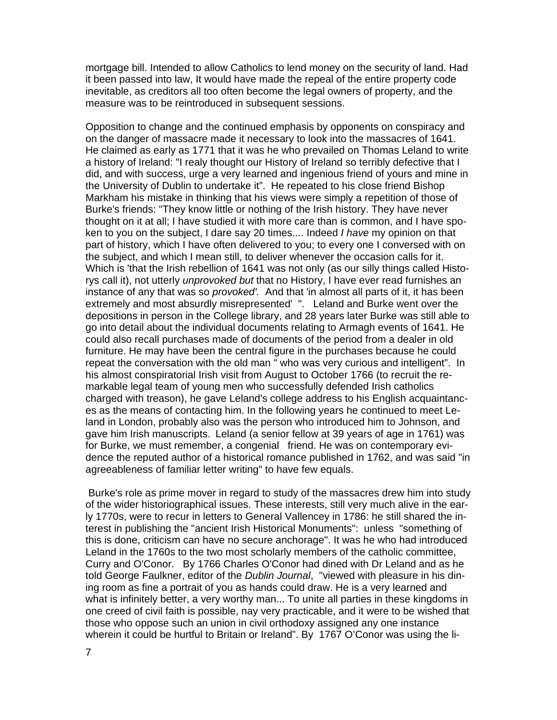mortgage bill. Intended to allow Catholics to lend money on the security of land. Had it been passed into law, It would have made the repeal of the entire property code inevitable, as creditors all too often become the legal owners of property, and the measure was to be reintroduced in subsequent sessions.

Opposition to change and the continued emphasis by opponents on conspiracy and on the danger of massacre made it necessary to look into the massacres of 1641. He claimed as early as 1771 that it was he who prevailed on Thomas Leland to write a history of Ireland: "I realy thought our History of Ireland so terribly defective that I did, and with success, urge a very learned and ingenious friend of yours and mine in the University of Dublin to undertake it". He repeated to his close friend Bishop Markham his mistake in thinking that his views were simply a repetition of those of Burke's friends: "They know little or nothing of the Irish history. They have never thought on it at all; I have studied it with more care than is common, and I have spoken to you on the subject, I dare say 20 times.... Indeed *I have* my opinion on that part of history, which I have often delivered to you; to every one I conversed with on the subject, and which I mean still, to deliver whenever the occasion calls for it. Which is 'that the Irish rebellion of 1641 was not only (as our silly things called Historys call it), not utterly *unprovoked but* that no History, I have ever read furnishes an instance of any that was so *provoked'.* And that 'in almost all parts of it, it has been extremely and most absurdly misrepresented' ". Leland and Burke went over the depositions in person in the College library, and 28 years later Burke was still able to go into detail about the individual documents relating to Armagh events of 1641. He could also recall purchases made of documents of the period from a dealer in old furniture. He may have been the central figure in the purchases because he could repeat the conversation with the old man " who was very curious and intelligent". In his almost conspiratorial Irish visit from August to October 1766 (to recruit the remarkable legal team of young men who successfully defended Irish catholics charged with treason), he gave Leland's college address to his English acquaintances as the means of contacting him. In the following years he continued to meet Leland in London, probably also was the person who introduced him to Johnson, and gave him Irish manuscripts. Leland (a senior fellow at 39 years of age in 1761) was for Burke, we must remember, a congenial friend. He was on contemporary evidence the reputed author of a historical romance published in 1762, and was said "in agreeableness of familiar letter writing" to have few equals.

 Burke's role as prime mover in regard to study of the massacres drew him into study of the wider historiographical issues. These interests, still very much alive in the early 1770s, were to recur in letters to General Vallencey in 1786: he still shared the interest in publishing the "ancient Irish Historical Monuments": unless "something of this is done, criticism can have no secure anchorage". It was he who had introduced Leland in the 1760s to the two most scholarly members of the catholic committee, Curry and O'Conor. By 1766 Charles O'Conor had dined with Dr Leland and as he told George Faulkner, editor of the *Dublin Journal*, "viewed with pleasure in his dining room as fine a portrait of you as hands could draw. He is a very learned and what is infinitely better, a very worthy man... To unite all parties in these kingdoms in one creed of civil faith is possible, nay very practicable, and it were to be wished that those who oppose such an union in civil orthodoxy assigned any one instance wherein it could be hurtful to Britain or Ireland". By 1767 O'Conor was using the li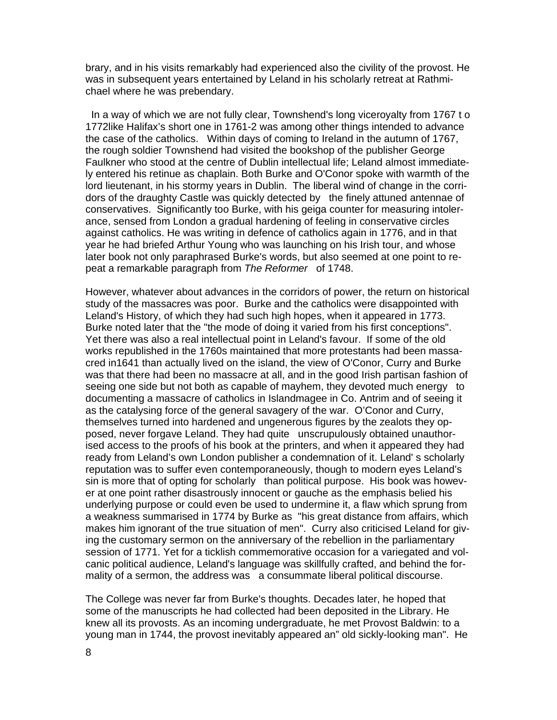brary, and in his visits remarkably had experienced also the civility of the provost. He was in subsequent years entertained by Leland in his scholarly retreat at Rathmichael where he was prebendary.

 In a way of which we are not fully clear, Townshend's long viceroyalty from 1767 t o 1772like Halifax's short one in 1761-2 was among other things intended to advance the case of the catholics. Within days of coming to Ireland in the autumn of 1767, the rough soldier Townshend had visited the bookshop of the publisher George Faulkner who stood at the centre of Dublin intellectual life; Leland almost immediately entered his retinue as chaplain. Both Burke and O'Conor spoke with warmth of the lord lieutenant, in his stormy years in Dublin. The liberal wind of change in the corridors of the draughty Castle was quickly detected by the finely attuned antennae of conservatives. Significantly too Burke, with his geiga counter for measuring intolerance, sensed from London a gradual hardening of feeling in conservative circles against catholics. He was writing in defence of catholics again in 1776, and in that year he had briefed Arthur Young who was launching on his Irish tour, and whose later book not only paraphrased Burke's words, but also seemed at one point to repeat a remarkable paragraph from *The Reformer* of 1748.

However, whatever about advances in the corridors of power, the return on historical study of the massacres was poor. Burke and the catholics were disappointed with Leland's History, of which they had such high hopes, when it appeared in 1773. Burke noted later that the "the mode of doing it varied from his first conceptions". Yet there was also a real intellectual point in Leland's favour. If some of the old works republished in the 1760s maintained that more protestants had been massacred in1641 than actually lived on the island, the view of O'Conor, Curry and Burke was that there had been no massacre at all, and in the good Irish partisan fashion of seeing one side but not both as capable of mayhem, they devoted much energy to documenting a massacre of catholics in Islandmagee in Co. Antrim and of seeing it as the catalysing force of the general savagery of the war. O'Conor and Curry, themselves turned into hardened and ungenerous figures by the zealots they opposed, never forgave Leland. They had quite unscrupulously obtained unauthorised access to the proofs of his book at the printers, and when it appeared they had ready from Leland's own London publisher a condemnation of it. Leland' s scholarly reputation was to suffer even contemporaneously, though to modern eyes Leland's sin is more that of opting for scholarly than political purpose. His book was however at one point rather disastrously innocent or gauche as the emphasis belied his underlying purpose or could even be used to undermine it, a flaw which sprung from a weakness summarised in 1774 by Burke as "his great distance from affairs, which makes him ignorant of the true situation of men". Curry also criticised Leland for giving the customary sermon on the anniversary of the rebellion in the parliamentary session of 1771. Yet for a ticklish commemorative occasion for a variegated and volcanic political audience, Leland's language was skillfully crafted, and behind the formality of a sermon, the address was a consummate liberal political discourse.

The College was never far from Burke's thoughts. Decades later, he hoped that some of the manuscripts he had collected had been deposited in the Library. He knew all its provosts. As an incoming undergraduate, he met Provost Baldwin: to a young man in 1744, the provost inevitably appeared an" old sickly-looking man". He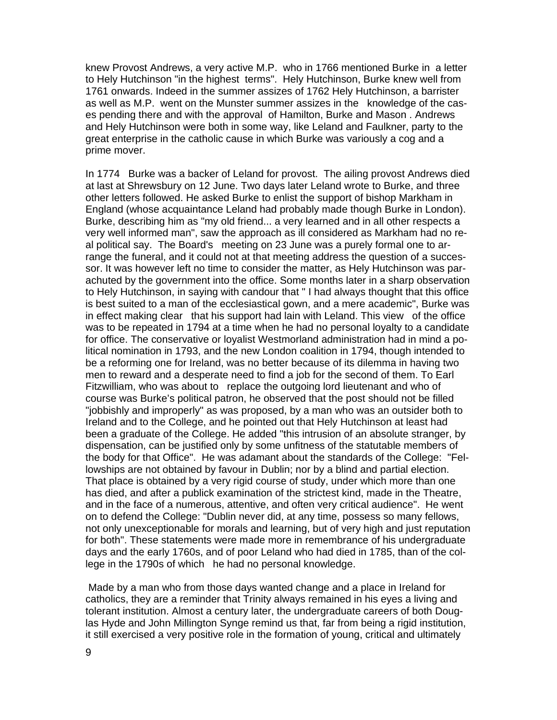knew Provost Andrews, a very active M.P. who in 1766 mentioned Burke in a letter to Hely Hutchinson "in the highest terms". Hely Hutchinson, Burke knew well from 1761 onwards. Indeed in the summer assizes of 1762 Hely Hutchinson, a barrister as well as M.P. went on the Munster summer assizes in the knowledge of the cases pending there and with the approval of Hamilton, Burke and Mason . Andrews and Hely Hutchinson were both in some way, like Leland and Faulkner, party to the great enterprise in the catholic cause in which Burke was variously a cog and a prime mover.

In 1774 Burke was a backer of Leland for provost. The ailing provost Andrews died at last at Shrewsbury on 12 June. Two days later Leland wrote to Burke, and three other letters followed. He asked Burke to enlist the support of bishop Markham in England (whose acquaintance Leland had probably made though Burke in London). Burke, describing him as "my old friend... a very learned and in all other respects a very well informed man", saw the approach as ill considered as Markham had no real political say. The Board's meeting on 23 June was a purely formal one to arrange the funeral, and it could not at that meeting address the question of a successor. It was however left no time to consider the matter, as Hely Hutchinson was parachuted by the government into the office. Some months later in a sharp observation to Hely Hutchinson, in saying with candour that " I had always thought that this office is best suited to a man of the ecclesiastical gown, and a mere academic", Burke was in effect making clear that his support had lain with Leland. This view of the office was to be repeated in 1794 at a time when he had no personal loyalty to a candidate for office. The conservative or loyalist Westmorland administration had in mind a political nomination in 1793, and the new London coalition in 1794, though intended to be a reforming one for Ireland, was no better because of its dilemma in having two men to reward and a desperate need to find a job for the second of them. To Earl Fitzwilliam, who was about to replace the outgoing lord lieutenant and who of course was Burke's political patron, he observed that the post should not be filled "jobbishly and improperly" as was proposed, by a man who was an outsider both to Ireland and to the College, and he pointed out that Hely Hutchinson at least had been a graduate of the College. He added "this intrusion of an absolute stranger, by dispensation, can be justified only by some unfitness of the statutable members of the body for that Office". He was adamant about the standards of the College: "Fellowships are not obtained by favour in Dublin; nor by a blind and partial election. That place is obtained by a very rigid course of study, under which more than one has died, and after a publick examination of the strictest kind, made in the Theatre, and in the face of a numerous, attentive, and often very critical audience". He went on to defend the College: "Dublin never did, at any time, possess so many fellows, not only unexceptionable for morals and learning, but of very high and just reputation for both". These statements were made more in remembrance of his undergraduate days and the early 1760s, and of poor Leland who had died in 1785, than of the college in the 1790s of which he had no personal knowledge.

 Made by a man who from those days wanted change and a place in Ireland for catholics, they are a reminder that Trinity always remained in his eyes a living and tolerant institution. Almost a century later, the undergraduate careers of both Douglas Hyde and John Millington Synge remind us that, far from being a rigid institution, it still exercised a very positive role in the formation of young, critical and ultimately